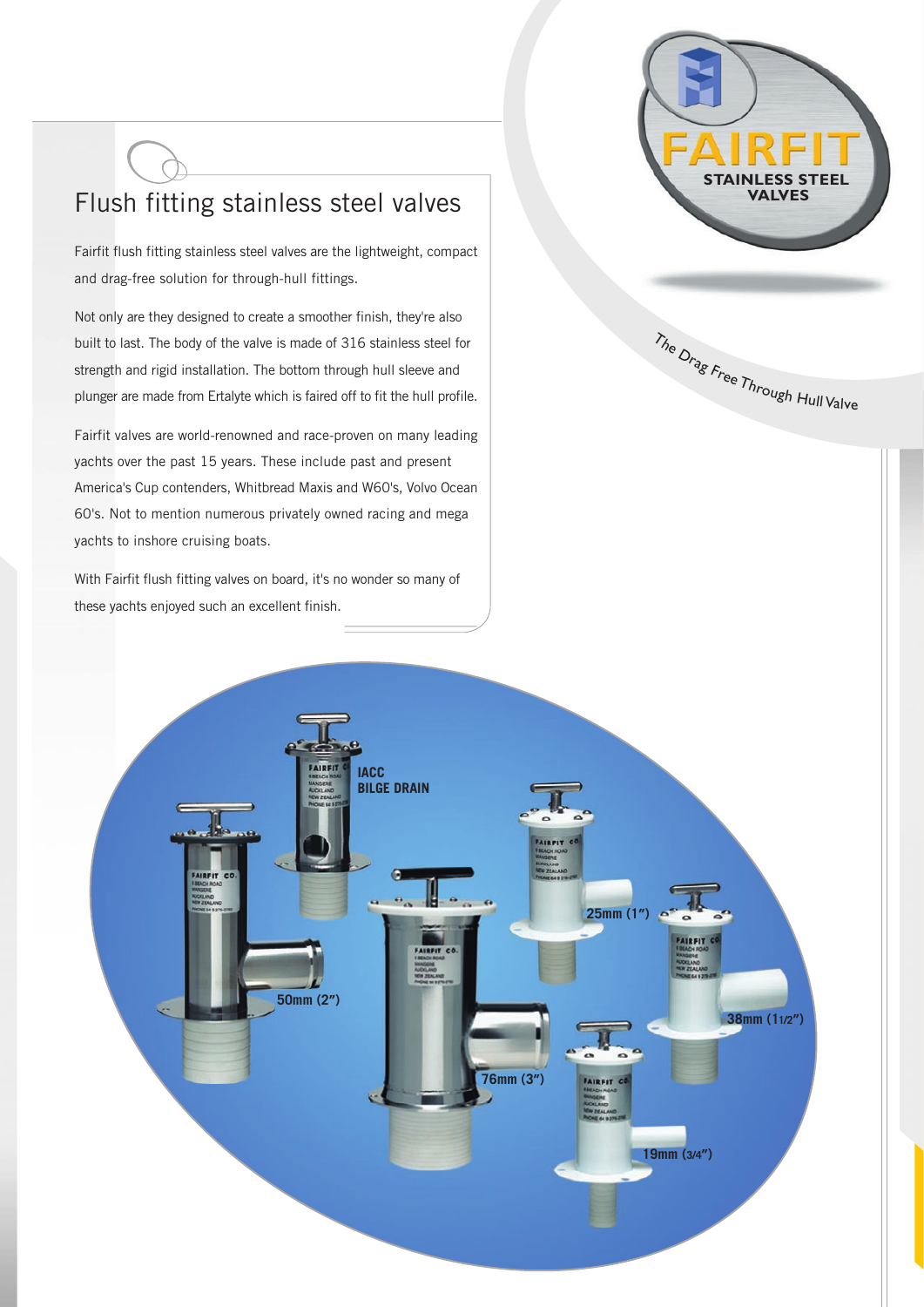## Flush fitting stainless steel valves

Fairfit flush fitting stainless steel valves are the lightweight, compact and drag-free solution for through-hull fittings.

Not only are they designed to create a smoother finish, they're also built to last. The body of the valve is made of 316 stainless steel for strength and rigid installation. The bottom through hull sleeve and plunger are made from Ertalyte which is faired off to fit the hull profile.

Fairfit valves are world-renowned and race-proven on many leading yachts over the past 15 years. These include past and present America's Cup contenders, Whitbread Maxis and W60's, Volvo Ocean 60's. Not to mention numerous privately owned racing and mega yachts to inshore cruising boats.

With Fairfit flush fitting valves on board, it's no wonder so many of these yachts enjoyed such an excellent finish.